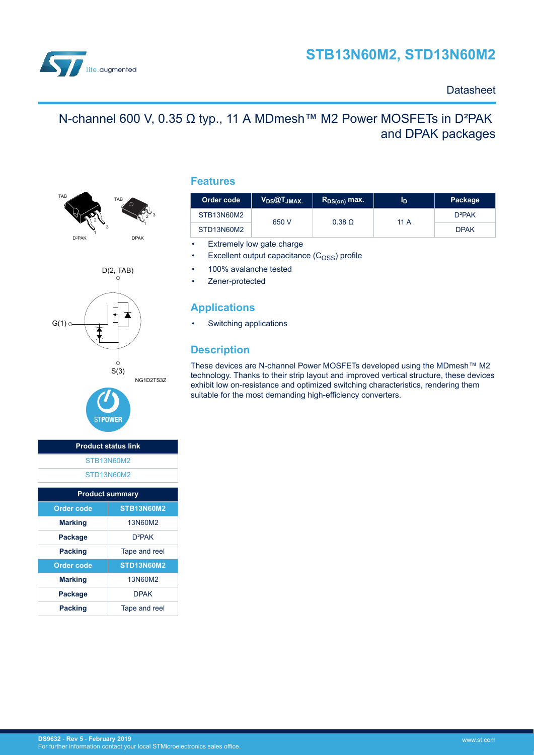

### **Datasheet**

# N-channel 600 V, 0.35 Ω typ., 11 A MDmesh™ M2 Power MOSFETs in D<sup>2</sup>PAK and DPAK packages





## **Product status link** [STB13N60M2](https://www.st.com/en/product/stb13n60m2) [STD13N60M2](https://www.st.com/en/product/std13n60m2) **Product summary Order code STB13N60M2 Marking** 13N60M2 Package D<sup>2</sup>PAK **Packing** Tape and reel **Order code STD13N60M2 Marking** 13N60M2 Package DPAK **Packing** Tape and reel

**STPOWER** 

### **Features**

| Order code | $V_{DS}$ @ $T_{JMAX.}$ | $R_{DS(on)}$ max. | ID   | Package     |
|------------|------------------------|-------------------|------|-------------|
| STB13N60M2 | 650 V                  | $0.38\Omega$      | 11 A | $D^2PAK$    |
| STD13N60M2 |                        |                   |      | <b>DPAK</b> |

- Extremely low gate charge
- Excellent output capacitance  $(C<sub>OSS</sub>)$  profile
- 100% avalanche tested
- Zener-protected

### **Applications**

Switching applications

## **Description**

These devices are N-channel Power MOSFETs developed using the MDmesh™ M2 technology. Thanks to their strip layout and improved vertical structure, these devices exhibit low on-resistance and optimized switching characteristics, rendering them suitable for the most demanding high-efficiency converters.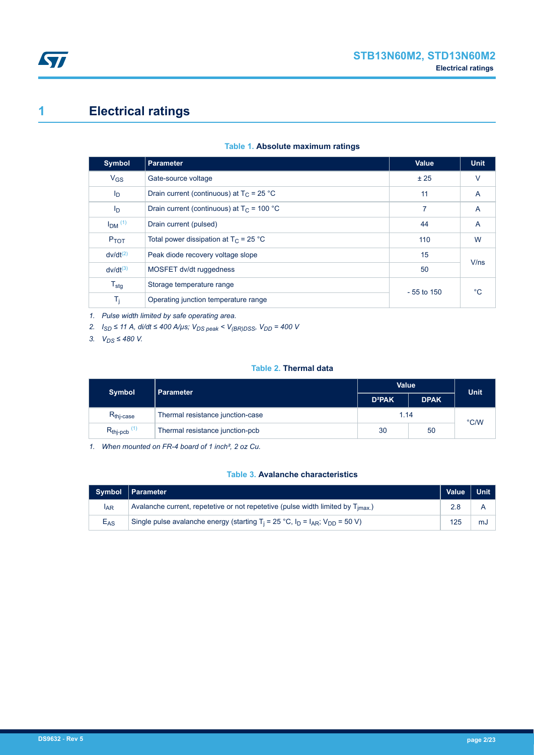# <span id="page-1-0"></span>**1 Electrical ratings**

| <b>Symbol</b>           | <b>Parameter</b>                             | <b>Value</b> | <b>Unit</b>    |  |
|-------------------------|----------------------------------------------|--------------|----------------|--|
| $V_{GS}$                | Gate-source voltage                          | ± 25         | $\vee$         |  |
| I <sub>D</sub>          | Drain current (continuous) at $T_C = 25 °C$  | 11           | $\overline{A}$ |  |
| ID                      | Drain current (continuous) at $T_C = 100 °C$ | 7            | $\overline{A}$ |  |
| $I_{DM}$ <sup>(1)</sup> | Drain current (pulsed)                       | 44           | $\overline{A}$ |  |
| P <sub>TOT</sub>        | Total power dissipation at $T_C = 25$ °C     | 110          | W              |  |
| $dv/dt^{(2)}$           | Peak diode recovery voltage slope            | 15           | V/ns           |  |
| $dv/dt^{(3)}$           | MOSFET dv/dt ruggedness                      | 50           |                |  |
| $T_{\text{stg}}$        | Storage temperature range                    | $-55$ to 150 | $^{\circ}$ C   |  |
| $T_j$                   | Operating junction temperature range         |              |                |  |
|                         |                                              |              |                |  |

#### **Table 1. Absolute maximum ratings**

*1. Pulse width limited by safe operating area.*

*2. ISD ≤ 11 A, di/dt ≤ 400 A/µs; VDS peak < V(BR)DSS, VDD = 400 V*

*3. VDS ≤ 480 V.*

#### **Table 2. Thermal data**

| <b>Symbol</b>                      | Parameter                        | Value                     | <b>Unit</b> |      |  |
|------------------------------------|----------------------------------|---------------------------|-------------|------|--|
|                                    |                                  | <b>D</b> <sup>2</sup> PAK | <b>DPAK</b> |      |  |
| $R_{\text{thi-case}}$              | Thermal resistance junction-case | 1.14                      |             | °C/W |  |
| $R_{\text{thipcb}}$ <sup>(1)</sup> | Thermal resistance junction-pcb  | 50<br>30                  |             |      |  |

*1. When mounted on FR-4 board of 1 inch², 2 oz Cu.*

### **Table 3. Avalanche characteristics**

|                 | Symbol   Parameter                                                                                                         | Value   Unit |    |
|-----------------|----------------------------------------------------------------------------------------------------------------------------|--------------|----|
| <sup>I</sup> AR | Avalanche current, repetetive or not repetetive (pulse width limited by T <sub>imax.</sub> )                               | 2.8          |    |
| $E_{AS}$        | Single pulse avalanche energy (starting T <sub>i</sub> = 25 °C, I <sub>D</sub> = I <sub>AR</sub> ; V <sub>DD</sub> = 50 V) | 125          | mJ |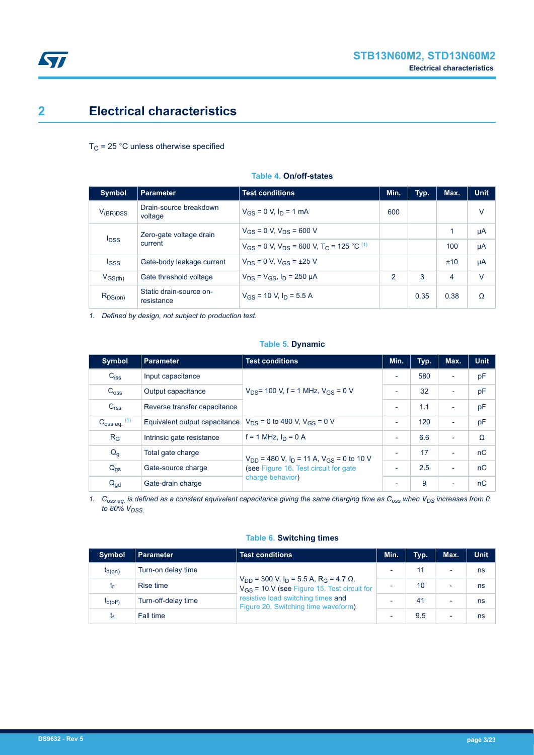

## <span id="page-2-0"></span>**2 Electrical characteristics**

 $T_C$  = 25 °C unless otherwise specified

| <b>Symbol</b>   | <b>Parameter</b>                                              | <b>Test conditions</b>                                                   | Min.           | Typ. | Max. | <b>Unit</b> |
|-----------------|---------------------------------------------------------------|--------------------------------------------------------------------------|----------------|------|------|-------------|
| $V_{(BR)DSS}$   | Drain-source breakdown<br>voltage                             | $V_{GS} = 0$ V, $I_D = 1$ mA                                             | 600            |      |      | v           |
|                 | Zero-gate voltage drain<br><b>I</b> <sub>DSS</sub><br>current | $V_{GS}$ = 0 V, $V_{DS}$ = 600 V                                         |                |      | 1    | μA          |
|                 |                                                               | $V_{GS}$ = 0 V, $V_{DS}$ = 600 V, T <sub>C</sub> = 125 °C <sup>(1)</sup> |                |      | 100  | μA          |
| $_{\text{GSS}}$ | Gate-body leakage current                                     | $V_{DS} = 0 V$ , $V_{GS} = \pm 25 V$                                     |                |      | ±10  | μA          |
| $V_{GS(th)}$    | Gate threshold voltage                                        | $V_{DS} = V_{GS}$ , $I_D = 250 \mu A$                                    | $\mathfrak{p}$ | 3    | 4    | $\vee$      |
| $R_{DS(on)}$    | Static drain-source on-<br>resistance                         | $V_{GS}$ = 10 V, $I_D$ = 5.5 A                                           |                | 0.35 | 0.38 | Ω           |

#### **Table 4. On/off-states**

*1. Defined by design, not subject to production test.*

#### **Table 5. Dynamic**

| <b>Symbol</b>           | <b>Parameter</b>              | <b>Test conditions</b>                                               | Min.                     | Typ. | Max.                     | <b>Unit</b> |
|-------------------------|-------------------------------|----------------------------------------------------------------------|--------------------------|------|--------------------------|-------------|
| $C_{iss}$               | Input capacitance             |                                                                      | $\overline{\phantom{a}}$ | 580  | ٠                        | pF          |
| C <sub>oss</sub>        | Output capacitance            | $V_{DS}$ = 100 V, f = 1 MHz, $V_{GS}$ = 0 V                          | $\overline{\phantom{a}}$ | 32   | $\overline{\phantom{0}}$ | pF          |
| C <sub>rss</sub>        | Reverse transfer capacitance  |                                                                      | $\overline{\phantom{a}}$ | 1.1  | $\overline{\phantom{0}}$ | pF          |
| $C_{\rm OSS}$ eq. $(1)$ | Equivalent output capacitance | $V_{DS}$ = 0 to 480 V, $V_{GS}$ = 0 V                                | $\overline{\phantom{a}}$ | 120  | ٠                        | pF          |
| $R_G$                   | Intrinsic gate resistance     | $f = 1$ MHz, $I_D = 0$ A                                             | $\overline{\phantom{a}}$ | 6.6  | ٠                        | Ω           |
| $Q_g$                   | Total gate charge             | $V_{DD}$ = 480 V, I <sub>D</sub> = 11 A, V <sub>GS</sub> = 0 to 10 V |                          | 17   | $\overline{\phantom{0}}$ | nC          |
| $Q_{gs}$                | Gate-source charge            | (see Figure 16. Test circuit for gate                                | ٠                        | 2.5  | $\overline{\phantom{0}}$ | nC          |
| $Q_{\text{qd}}$         | Gate-drain charge             | charge behavior)                                                     | $\overline{\phantom{0}}$ | 9    | $\overline{\phantom{0}}$ | nC          |

*1. Coss eq. is defined as a constant equivalent capacitance giving the same charging time as Coss when VDS increases from 0 to 80% VDSS.*

#### **Table 6. Switching times**

| <b>Symbol</b> | Parameter           | <b>Test conditions</b>                                                                                                                                                                                            | Min. | Typ.           | Max.                     | <b>Unit</b> |
|---------------|---------------------|-------------------------------------------------------------------------------------------------------------------------------------------------------------------------------------------------------------------|------|----------------|--------------------------|-------------|
| $t_{d(on)}$   | Turn-on delay time  | $V_{\text{DD}}$ = 300 V, $I_{\text{D}}$ = 5.5 A, R <sub>G</sub> = 4.7 $\Omega$ ,<br>$V_{GS}$ = 10 V (see Figure 15. Test circuit for<br>resistive load switching times and<br>Figure 20. Switching time waveform) |      |                | $\overline{\phantom{0}}$ | ns          |
| t,            | Rise time           |                                                                                                                                                                                                                   | -    | 10             | $\overline{\phantom{0}}$ | ns          |
| $t_{d(Off)}$  | Turn-off-delay time |                                                                                                                                                                                                                   |      | 4 <sup>1</sup> | $\overline{\phantom{0}}$ | ns          |
| t۴            | Fall time           |                                                                                                                                                                                                                   |      | 9.5            | $\overline{\phantom{0}}$ | ns          |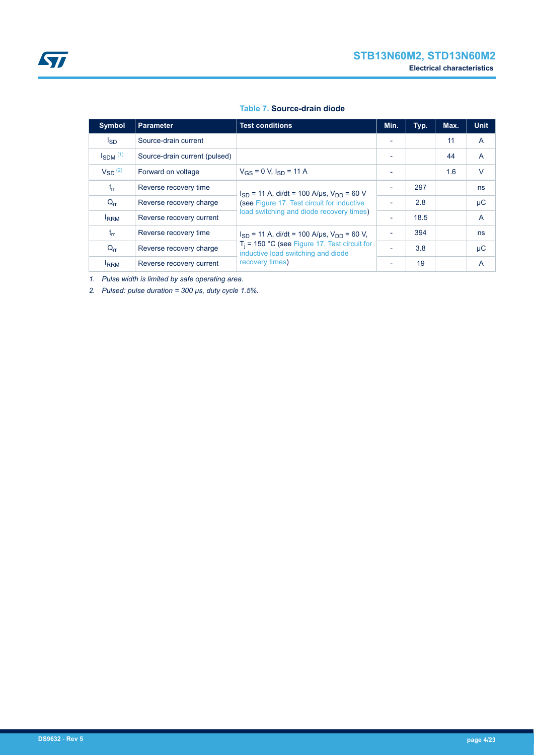| <b>Symbol</b>            | <b>Parameter</b>              | <b>Test conditions</b>                                                                 | Min.                     | Typ. | Max. | <b>Unit</b>    |
|--------------------------|-------------------------------|----------------------------------------------------------------------------------------|--------------------------|------|------|----------------|
| <sub>sD</sub>            | Source-drain current          |                                                                                        |                          |      | 11   | A              |
| $I_{SDM}$ <sup>(1)</sup> | Source-drain current (pulsed) |                                                                                        | ٠                        |      | 44   | $\overline{A}$ |
| $V_{SD}$ <sup>(2)</sup>  | Forward on voltage            | $V_{GS} = 0$ V, $I_{SD} = 11$ A                                                        |                          |      | 1.6  | $\vee$         |
| $t_{rr}$                 | Reverse recovery time         | $I_{SD}$ = 11 A, di/dt = 100 A/us, $V_{DD}$ = 60 V                                     | ٠                        | 297  |      | ns             |
| $Q_{rr}$                 | Reverse recovery charge       | (see Figure 17. Test circuit for inductive<br>load switching and diode recovery times) | $\overline{\phantom{a}}$ | 2.8  |      | $\mu$ C        |
| <b>IRRM</b>              | Reverse recovery current      |                                                                                        | ٠                        | 18.5 |      | $\overline{A}$ |
| $t_{rr}$                 | Reverse recovery time         | $I_{SD}$ = 11 A, di/dt = 100 A/us, $V_{DD}$ = 60 V,                                    | ٠                        | 394  |      | ns             |
| $Q_{rr}$                 | Reverse recovery charge       | $T_i$ = 150 °C (see Figure 17. Test circuit for<br>inductive load switching and diode  | ٠                        | 3.8  |      | μC             |
| <b>IRRM</b>              | Reverse recovery current      | recovery times)                                                                        | ٠                        | 19   |      | A              |

#### **Table 7. Source-drain diode**

*1. Pulse width is limited by safe operating area.*

*2. Pulsed: pulse duration = 300 µs, duty cycle 1.5%.*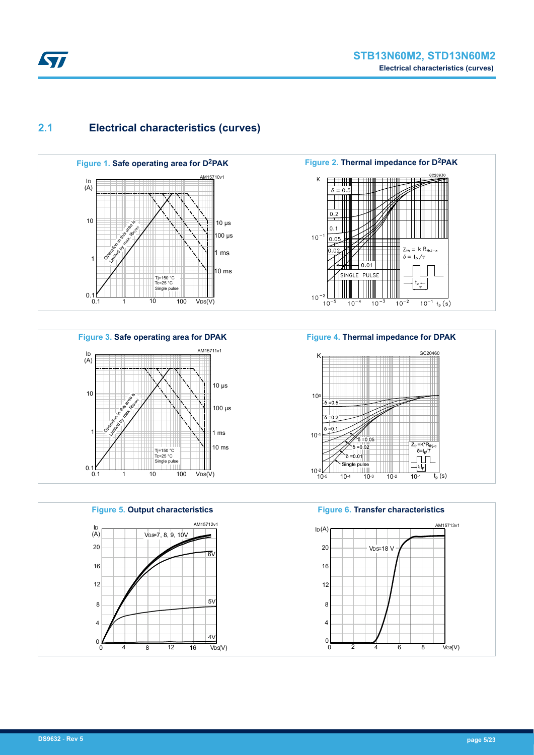

## <span id="page-4-0"></span>**2.1 Electrical characteristics (curves)**











**Figure 6. Transfer characteristics**

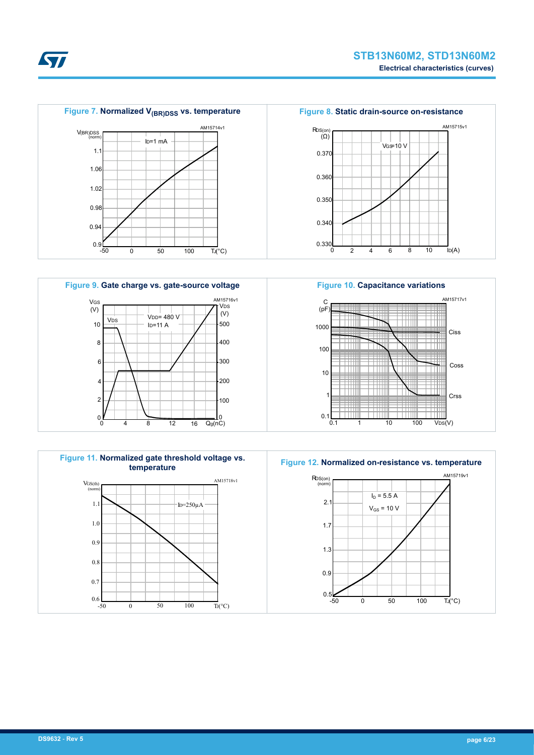

*EAL* 









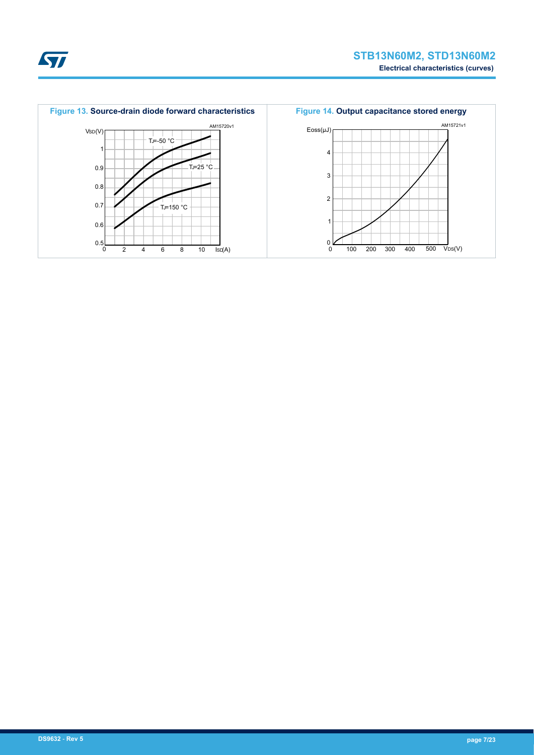

ST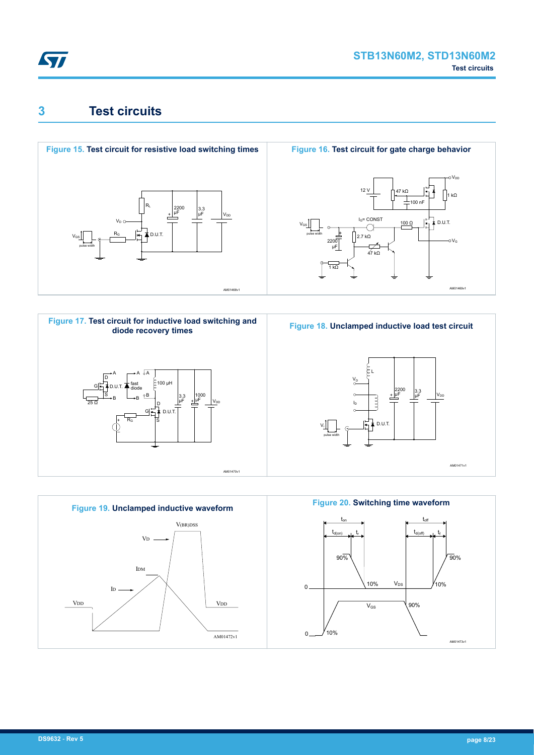<span id="page-7-0"></span>

# **3 Test circuits**











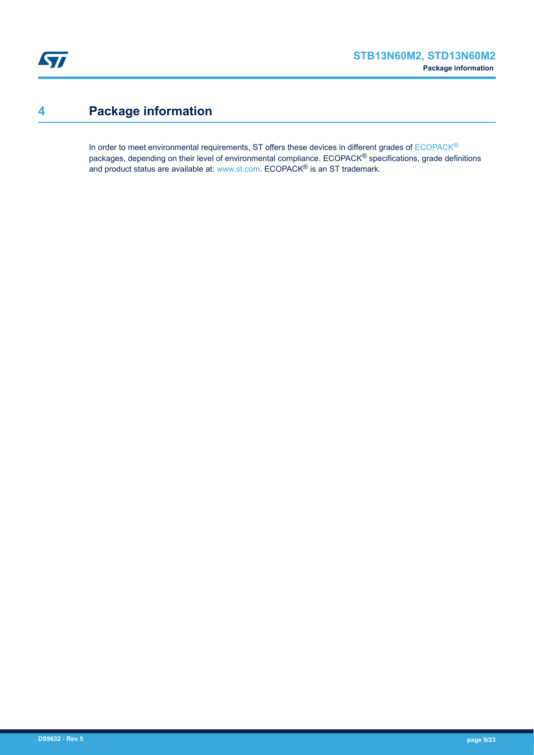# <span id="page-8-0"></span>**4 Package information**

In order to meet environmental requirements, ST offers these devices in different grades of [ECOPACK](https://www.st.com/ecopack)® packages, depending on their level of environmental compliance. ECOPACK® specifications, grade definitions and product status are available at: [www.st.com.](http://www.st.com) ECOPACK® is an ST trademark.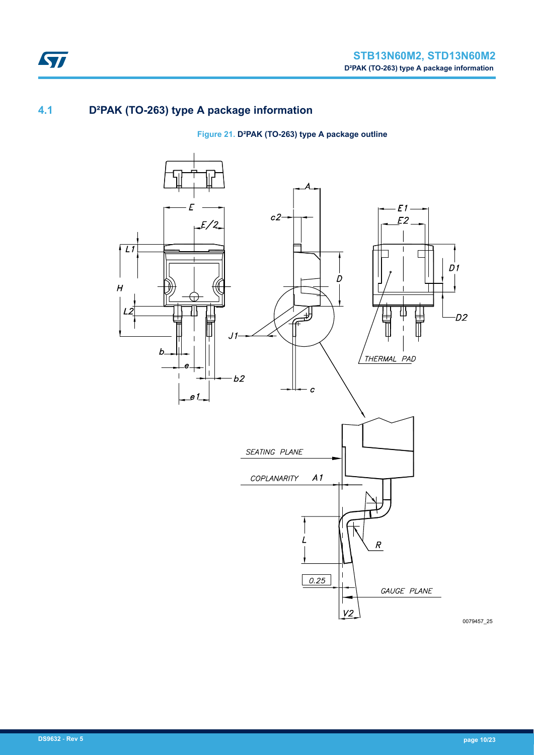## **4.1 D²PAK (TO-263) type A package information**

### **Figure 21. D²PAK (TO-263) type A package outline**

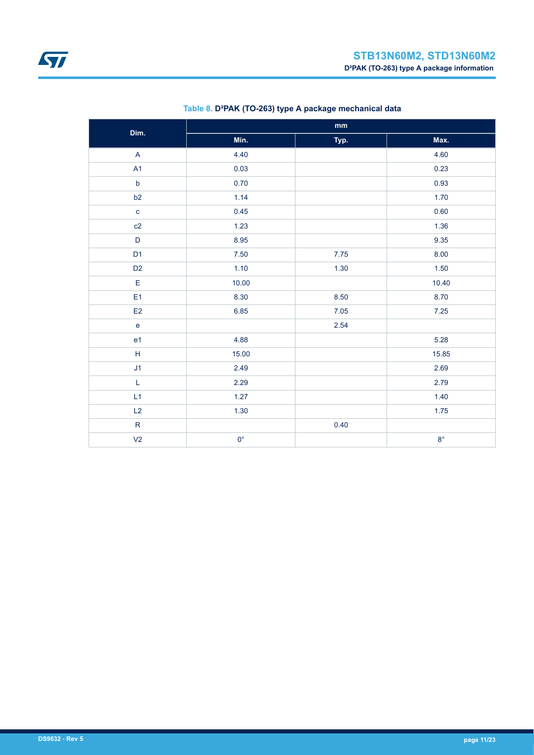| Dim.                                                | mm          |      |             |  |  |  |
|-----------------------------------------------------|-------------|------|-------------|--|--|--|
|                                                     | Min.        | Typ. | Max.        |  |  |  |
| $\boldsymbol{\mathsf{A}}$                           | 4.40        |      | 4.60        |  |  |  |
| A1                                                  | 0.03        |      | 0.23        |  |  |  |
| $\mathsf b$                                         | 0.70        |      | 0.93        |  |  |  |
| b2                                                  | 1.14        |      | 1.70        |  |  |  |
| $\mathbf{c}$                                        | 0.45        |      | 0.60        |  |  |  |
| c2                                                  | 1.23        |      | 1.36        |  |  |  |
| $\mathsf D$                                         | 8.95        |      | 9.35        |  |  |  |
| D <sub>1</sub>                                      | $7.50\,$    | 7.75 | 8.00        |  |  |  |
| D <sub>2</sub>                                      | 1.10        | 1.30 | 1.50        |  |  |  |
| $\mathsf E$                                         | 10.00       |      | 10.40       |  |  |  |
| E <sub>1</sub>                                      | 8.30        | 8.50 | 8.70        |  |  |  |
| E2                                                  | 6.85        | 7.05 | 7.25        |  |  |  |
| ${\bf e}$                                           |             | 2.54 |             |  |  |  |
| e1                                                  | 4.88        |      | 5.28        |  |  |  |
| $\mathsf{H}% _{\mathsf{H}}^{\ast}(\mathcal{M}_{0})$ | 15.00       |      | 15.85       |  |  |  |
| J <sub>1</sub>                                      | 2.49        |      | 2.69        |  |  |  |
| $\mathsf L$                                         | 2.29        |      | 2.79        |  |  |  |
| L1                                                  | 1.27        |      | 1.40        |  |  |  |
| L2                                                  | 1.30        |      | 1.75        |  |  |  |
| ${\sf R}$                                           |             | 0.40 |             |  |  |  |
| V <sub>2</sub>                                      | $0^{\circ}$ |      | $8^{\circ}$ |  |  |  |

### **Table 8. D²PAK (TO-263) type A package mechanical data**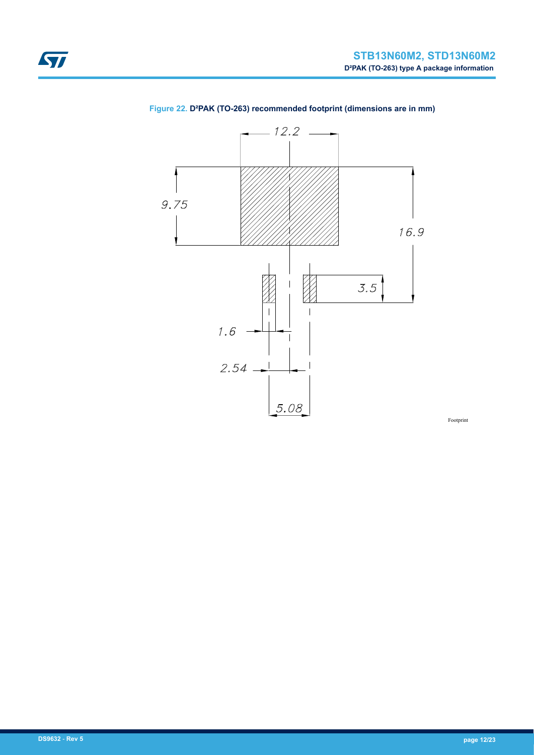

### **Figure 22. D²PAK (TO-263) recommended footprint (dimensions are in mm)**

Footprint

<span id="page-11-0"></span>ST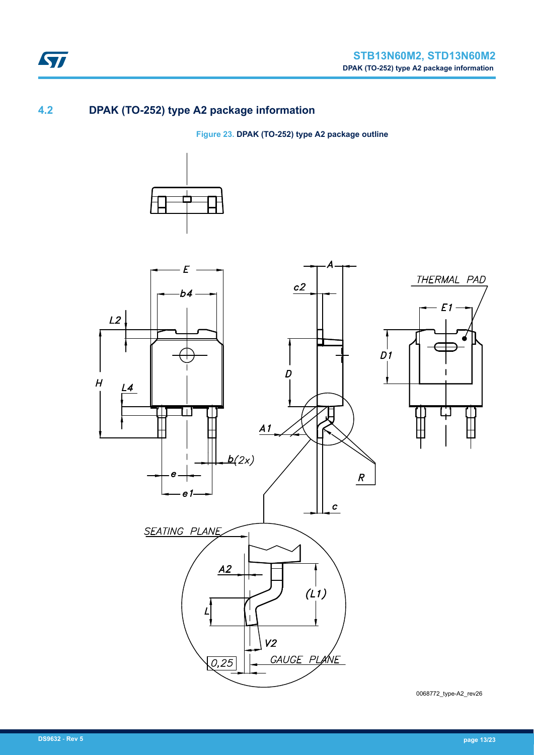

## **4.2 DPAK (TO-252) type A2 package information**

ST

**Figure 23. DPAK (TO-252) type A2 package outline**





0068772\_type-A2\_rev26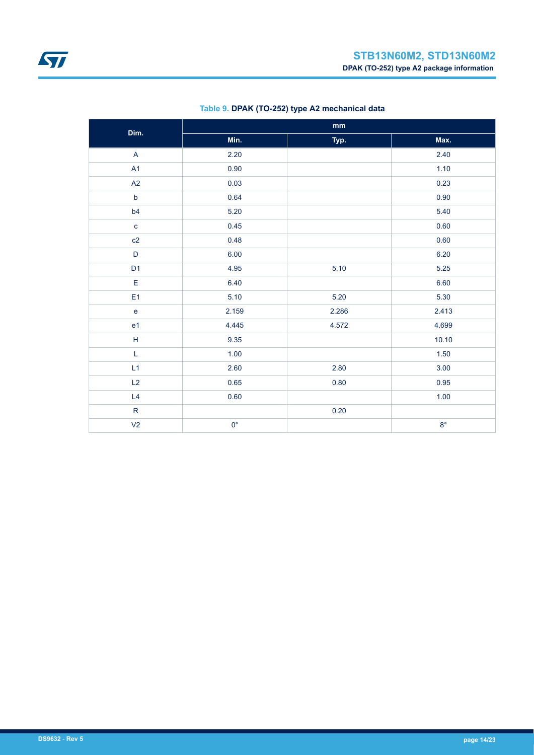<span id="page-13-0"></span>

| Dim.                                                        | mm          |       |             |  |  |
|-------------------------------------------------------------|-------------|-------|-------------|--|--|
|                                                             | Min.        | Typ.  | Max.        |  |  |
| $\boldsymbol{\mathsf{A}}$                                   | 2.20        |       | 2.40        |  |  |
| A1                                                          | 0.90        |       | 1.10        |  |  |
| A2                                                          | 0.03        |       | 0.23        |  |  |
| $\mathsf b$                                                 | 0.64        |       | 0.90        |  |  |
| b4                                                          | 5.20        |       | 5.40        |  |  |
| $\mathbf c$                                                 | 0.45        |       | 0.60        |  |  |
| c2                                                          | 0.48        |       | 0.60        |  |  |
| $\mathsf D$                                                 | 6.00        |       | 6.20        |  |  |
| D <sub>1</sub>                                              | 4.95        | 5.10  | 5.25        |  |  |
| $\mathsf E$                                                 | 6.40        |       | 6.60        |  |  |
| E <sub>1</sub>                                              | 5.10        | 5.20  | 5.30        |  |  |
| $\mathsf e$                                                 | 2.159       | 2.286 | 2.413       |  |  |
| e <sub>1</sub>                                              | 4.445       | 4.572 | 4.699       |  |  |
| $\mathsf{H}% _{\mathbb{R}}^{1}\left( \mathbb{R}^{2}\right)$ | 9.35        |       | 10.10       |  |  |
| L                                                           | 1.00        |       | 1.50        |  |  |
| L1                                                          | 2.60        | 2.80  | 3.00        |  |  |
| L2                                                          | 0.65        | 0.80  | 0.95        |  |  |
| L4                                                          | 0.60        |       | 1.00        |  |  |
| ${\sf R}$                                                   |             | 0.20  |             |  |  |
| V <sub>2</sub>                                              | $0^{\circ}$ |       | $8^{\circ}$ |  |  |

### **Table 9. DPAK (TO-252) type A2 mechanical data**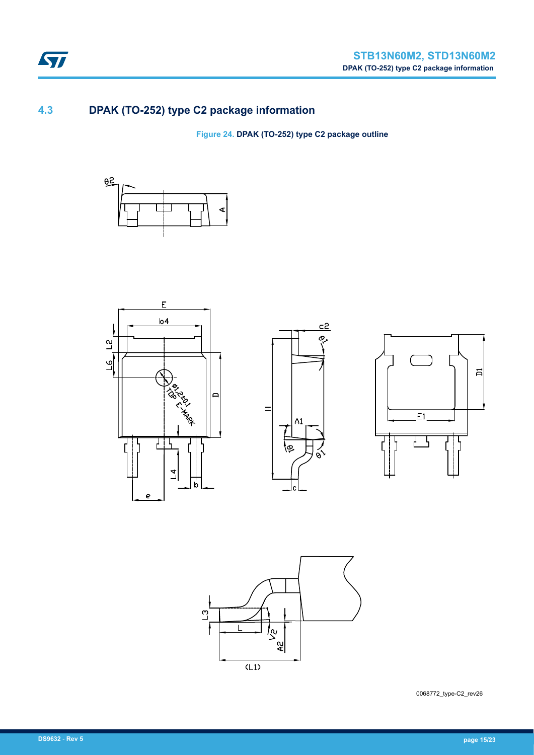

## **4.3 DPAK (TO-252) type C2 package information**

**Figure 24. DPAK (TO-252) type C2 package outline**











0068772\_type-C2\_rev26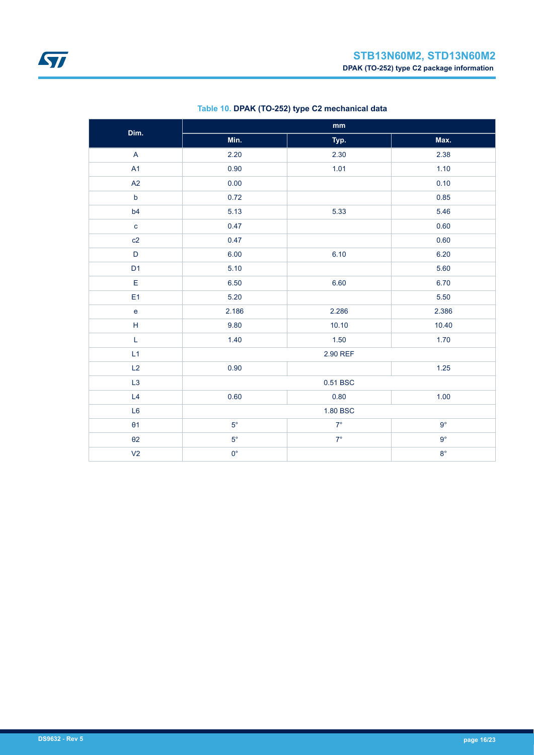| Dim.                                                        | $\mathop{\mathsf{mm}}\nolimits$ |           |             |  |  |
|-------------------------------------------------------------|---------------------------------|-----------|-------------|--|--|
|                                                             | Min.                            | Typ.      | Max.        |  |  |
| $\boldsymbol{\mathsf{A}}$                                   | 2.20                            | 2.30      | 2.38        |  |  |
| A1                                                          | 0.90                            | 1.01      | 1.10        |  |  |
| A2                                                          | 0.00                            |           | 0.10        |  |  |
| $\mathsf b$                                                 | 0.72                            |           | 0.85        |  |  |
| b4                                                          | 5.13                            | 5.33      | 5.46        |  |  |
| $\mathbf{C}$                                                | 0.47                            |           | 0.60        |  |  |
| c2                                                          | 0.47                            |           | 0.60        |  |  |
| $\mathsf D$                                                 | 6.00                            | 6.10      | 6.20        |  |  |
| D <sub>1</sub>                                              | 5.10                            |           | 5.60        |  |  |
| E                                                           | 6.50                            | 6.60      | 6.70        |  |  |
| E <sub>1</sub>                                              | 5.20                            |           | 5.50        |  |  |
| e                                                           | 2.186                           | 2.286     | 2.386       |  |  |
| $\mathsf{H}% _{\mathbb{R}}^{1}\left( \mathbb{R}^{2}\right)$ | 9.80                            | 10.10     | 10.40       |  |  |
| L                                                           | 1.40                            | 1.50      | 1.70        |  |  |
| L1                                                          |                                 | 2.90 REF  |             |  |  |
| L2                                                          | 0.90                            |           | 1.25        |  |  |
| L <sub>3</sub>                                              |                                 | 0.51 BSC  |             |  |  |
| L4                                                          | 0.60                            | 0.80      | 1.00        |  |  |
| L <sub>6</sub>                                              | 1.80 BSC                        |           |             |  |  |
| $\theta$ 1                                                  | $5^{\circ}$                     | $7^\circ$ | $9^{\circ}$ |  |  |
| $\theta$ 2                                                  | $5^{\circ}$                     | $7^\circ$ | $9^{\circ}$ |  |  |
| V <sub>2</sub>                                              | $0^{\circ}$                     |           | $8^\circ$   |  |  |

### **Table 10. DPAK (TO-252) type C2 mechanical data**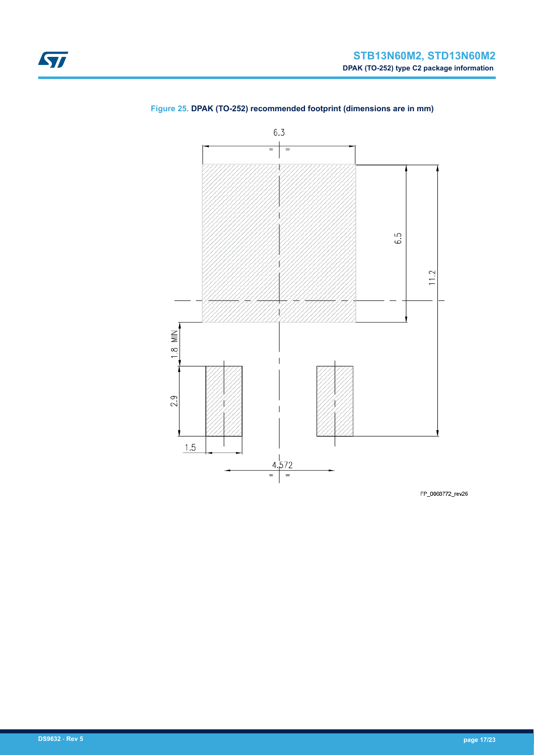

### <span id="page-16-0"></span>**Figure 25. DPAK (TO-252) recommended footprint (dimensions are in mm)**

FP\_0068772\_rev26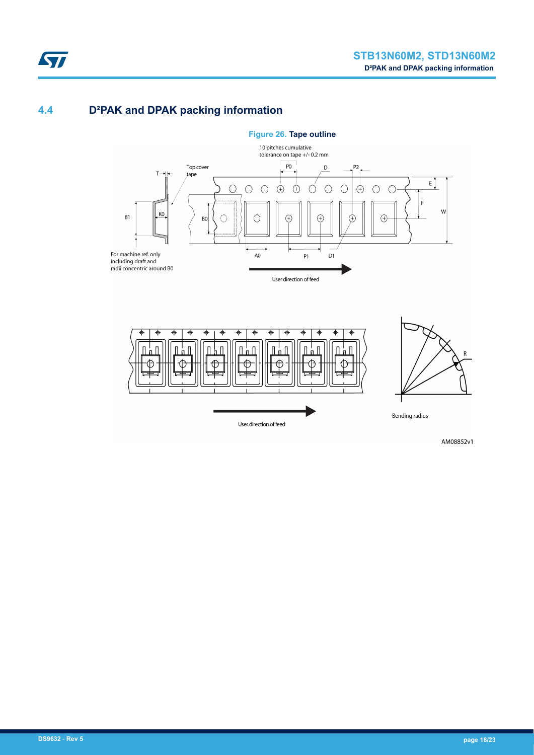## **4.4 D²PAK and DPAK packing information**





AM08852v1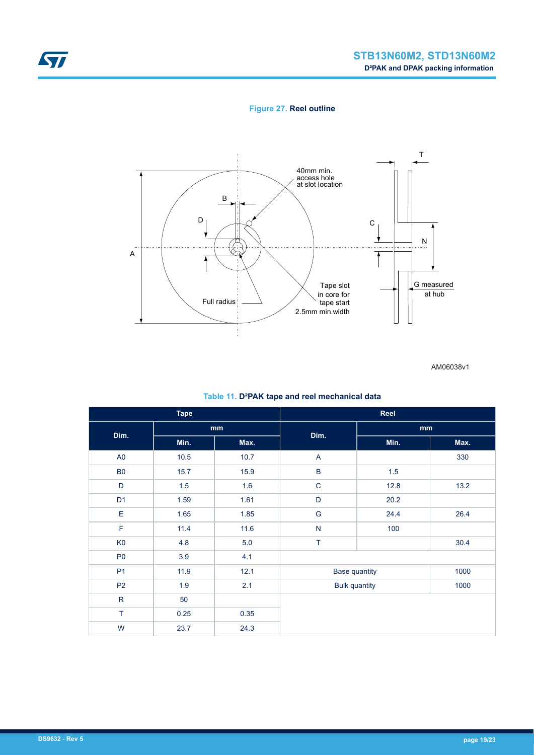### **Figure 27. Reel outline**



AM06038v1

|  |  |  |  | Table 11. D <sup>2</sup> PAK tape and reel mechanical data |  |
|--|--|--|--|------------------------------------------------------------|--|
|--|--|--|--|------------------------------------------------------------|--|

| <b>Tape</b>    |      |      | Reel                 |      |      |
|----------------|------|------|----------------------|------|------|
| Dim.           | mm   |      | Dim.                 | mm   |      |
|                | Min. | Max. |                      | Min. | Max. |
| A <sub>0</sub> | 10.5 | 10.7 | A                    |      | 330  |
| <b>B0</b>      | 15.7 | 15.9 | $\sf B$              | 1.5  |      |
| D              | 1.5  | 1.6  | $\mathsf C$          | 12.8 | 13.2 |
| D <sub>1</sub> | 1.59 | 1.61 | $\mathsf D$          | 20.2 |      |
| E              | 1.65 | 1.85 | ${\mathsf G}$        | 24.4 | 26.4 |
| F              | 11.4 | 11.6 | ${\sf N}$            | 100  |      |
| K <sub>0</sub> | 4.8  | 5.0  | T                    |      | 30.4 |
| P <sub>0</sub> | 3.9  | 4.1  |                      |      |      |
| P <sub>1</sub> | 11.9 | 12.1 | <b>Base quantity</b> |      | 1000 |
| P <sub>2</sub> | 1.9  | 2.1  | <b>Bulk quantity</b> |      | 1000 |
| ${\sf R}$      | 50   |      |                      |      |      |
| T              | 0.25 | 0.35 |                      |      |      |
| W              | 23.7 | 24.3 |                      |      |      |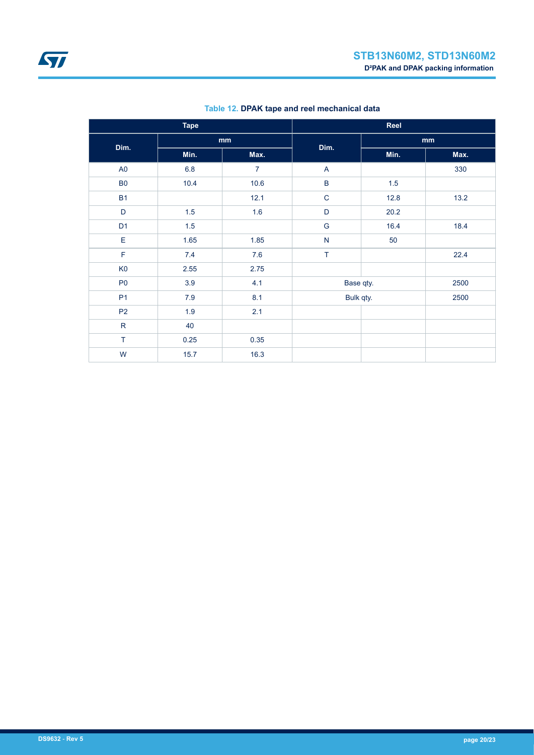| <b>Tape</b>    |         |                | Reel           |         |      |  |
|----------------|---------|----------------|----------------|---------|------|--|
| Dim.           | mm      |                |                |         | mm   |  |
|                | Min.    | Max.           | Dim.           | Min.    | Max. |  |
| A <sub>0</sub> | $6.8\,$ | $\overline{7}$ | $\mathsf{A}$   |         | 330  |  |
| <b>B0</b>      | 10.4    | 10.6           | $\overline{B}$ | $1.5\,$ |      |  |
| <b>B1</b>      |         | 12.1           | $\mathbf C$    | 12.8    | 13.2 |  |
| D              | $1.5\,$ | 1.6            | $\mathsf D$    | 20.2    |      |  |
| D <sub>1</sub> | $1.5\,$ |                | ${\mathsf G}$  | 16.4    | 18.4 |  |
| E              | 1.65    | 1.85           | ${\sf N}$      | 50      |      |  |
| F              | 7.4     | 7.6            | $\top$         |         | 22.4 |  |
| K <sub>0</sub> | 2.55    | 2.75           |                |         |      |  |
| P <sub>0</sub> | 3.9     | 4.1            | Base qty.      |         | 2500 |  |
| P <sub>1</sub> | $7.9$   | 8.1            | Bulk qty.      |         | 2500 |  |
| P <sub>2</sub> | 1.9     | 2.1            |                |         |      |  |
| ${\sf R}$      | 40      |                |                |         |      |  |
| T              | 0.25    | 0.35           |                |         |      |  |
| W              | 15.7    | 16.3           |                |         |      |  |

### **Table 12. DPAK tape and reel mechanical data**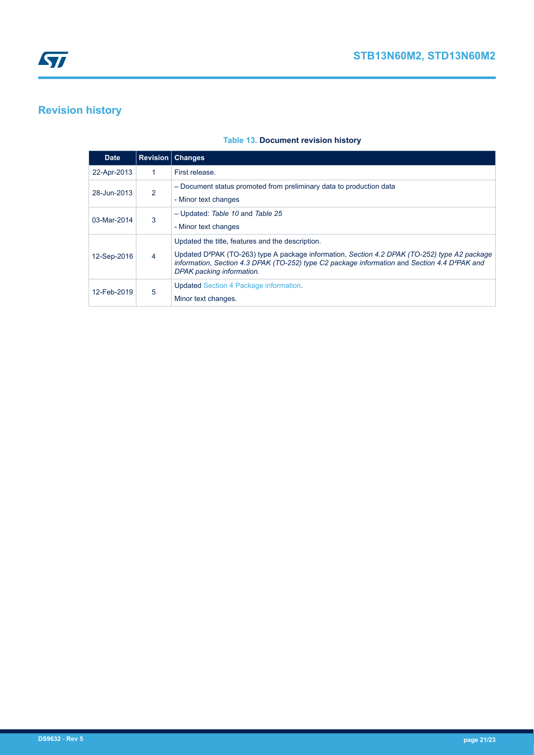# <span id="page-20-0"></span>**Revision history**

### **Table 13. Document revision history**

|  | <b>Date</b> |   | <b>Revision   Changes</b>                                                                                                                                                                                                                                                                               |
|--|-------------|---|---------------------------------------------------------------------------------------------------------------------------------------------------------------------------------------------------------------------------------------------------------------------------------------------------------|
|  | 22-Apr-2013 | 1 | First release.                                                                                                                                                                                                                                                                                          |
|  | 28-Jun-2013 | 2 | - Document status promoted from preliminary data to production data<br>- Minor text changes                                                                                                                                                                                                             |
|  | 03-Mar-2014 | 3 | - Updated: Table 10 and Table 25<br>- Minor text changes                                                                                                                                                                                                                                                |
|  | 12-Sep-2016 | 4 | Updated the title, features and the description.<br>Updated D <sup>2</sup> PAK (TO-263) type A package information, Section 4.2 DPAK (TO-252) type A2 package<br>information, Section 4.3 DPAK (TO-252) type C2 package information and Section 4.4 D <sup>2</sup> PAK and<br>DPAK packing information. |
|  | 12-Feb-2019 | 5 | <b>Updated Section 4 Package information.</b><br>Minor text changes.                                                                                                                                                                                                                                    |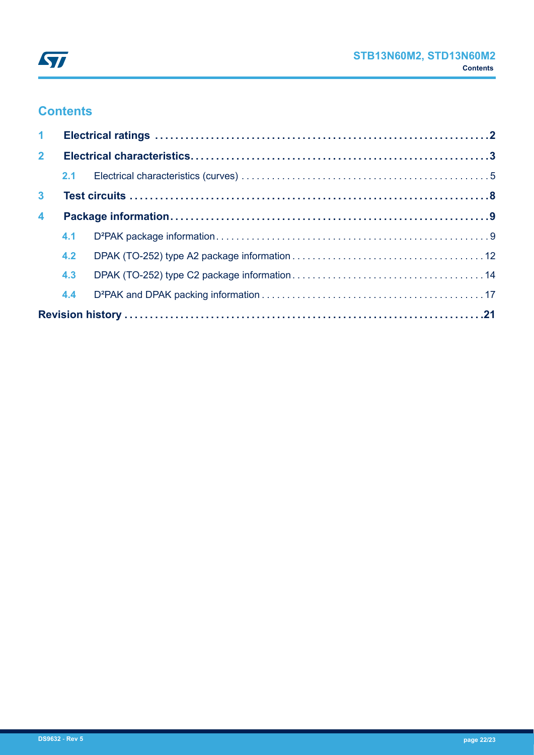

# **Contents**

| 1 <sup>1</sup>          |     |  |  |  |  |  |
|-------------------------|-----|--|--|--|--|--|
| 2 <sup>7</sup>          |     |  |  |  |  |  |
|                         |     |  |  |  |  |  |
| 3 <sup>1</sup>          |     |  |  |  |  |  |
| $\overline{\mathbf{4}}$ |     |  |  |  |  |  |
|                         | 4.1 |  |  |  |  |  |
|                         | 4.2 |  |  |  |  |  |
|                         | 4.3 |  |  |  |  |  |
|                         | 4.4 |  |  |  |  |  |
|                         |     |  |  |  |  |  |